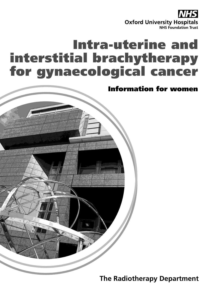**Oxford University Hospitals NHS Foundation Trust** 

# Intra-uterine and interstitial brachytherapy for gynaecological cancer



**The Radiotherapy Department**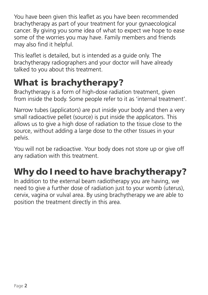You have been given this leaflet as you have been recommended brachytherapy as part of your treatment for your gynaecological cancer. By giving you some idea of what to expect we hope to ease some of the worries you may have. Family members and friends may also find it helpful.

This leaflet is detailed, but is intended as a guide only. The brachytherapy radiographers and your doctor will have already talked to you about this treatment.

# What is brachytherapy?

Brachytherapy is a form of high-dose radiation treatment, given from inside the body. Some people refer to it as 'internal treatment'.

Narrow tubes (applicators) are put inside your body and then a very small radioactive pellet (source) is put inside the applicators. This allows us to give a high dose of radiation to the tissue close to the source, without adding a large dose to the other tissues in your pelvis.

You will not be radioactive. Your body does not store up or give off any radiation with this treatment.

# Why do I need to have brachytherapy?

In addition to the external beam radiotherapy you are having, we need to give a further dose of radiation just to your womb (uterus), cervix, vagina or vulval area. By using brachytherapy we are able to position the treatment directly in this area.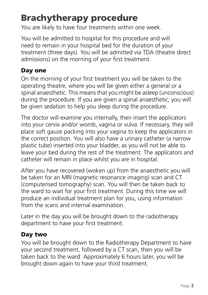# Brachytherapy procedure

You are likely to have four treatments within one week.

You will be admitted to hospital for this procedure and will need to remain in your hospital bed for the duration of your treatment (three days). You will be admitted via TDA (theatre direct admissions) on the morning of your first treatment.

#### Day one

On the morning of your first treatment you will be taken to the operating theatre, where you will be given either a general or a spinal anaesthetic. This means that you might be asleep (unconscious) during the procedure. If you are given a spinal anaesthetic, you will be given sedation to help you sleep during the procedure.

The doctor will examine you internally, then insert the applicators into your cervix and/or womb, vagina or vulva. If necessary, they will place soft gauze packing into your vagina to keep the applicators in the correct position. You will also have a urinary catheter (a narrow plastic tube) inserted into your bladder, as you will not be able to leave your bed during the rest of the treatment. The applicators and catheter will remain in place whilst you are in hospital.

After you have recovered (woken up) from the anaesthetic you will be taken for an MRI (magnetic resonance imaging) scan and CT (computerised tomography) scan. You will then be taken back to the ward to wait for your first treatment. During this time we will produce an individual treatment plan for you, using information from the scans and internal examination.

Later in the day you will be brought down to the radiotherapy department to have your first treatment.

#### Day two

You will be brought down to the Radiotherapy Department to have your second treatment, followed by a CT scan, then you will be taken back to the ward. Approximately 6 hours later, you will be brought down again to have your third treatment.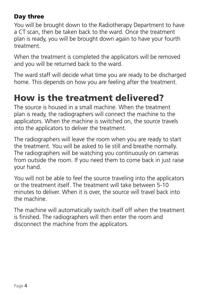#### Day three

You will be brought down to the Radiotherapy Department to have a CT scan, then be taken back to the ward. Once the treatment plan is ready, you will be brought down again to have your fourth treatment.

When the treatment is completed the applicators will be removed and you will be returned back to the ward.

The ward staff will decide what time you are ready to be discharged home. This depends on how you are feeling after the treatment.

### How is the treatment delivered?

The source is housed in a small machine. When the treatment plan is ready, the radiographers will connect the machine to the applicators. When the machine is switched on, the source travels into the applicators to deliver the treatment.

The radiographers will leave the room when you are ready to start the treatment. You will be asked to lie still and breathe normally. The radiographers will be watching you continuously on cameras from outside the room. If you need them to come back in just raise your hand.

You will not be able to feel the source traveling into the applicators or the treatment itself. The treatment will take between 5-10 minutes to deliver. When it is over, the source will travel back into the machine.

The machine will automatically switch itself off when the treatment is finished. The radiographers will then enter the room and disconnect the machine from the applicators.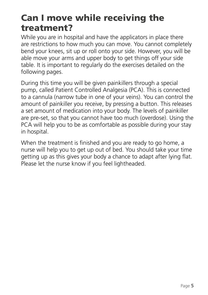### Can I move while receiving the treatment?

While you are in hospital and have the applicators in place there are restrictions to how much you can move. You cannot completely bend your knees, sit up or roll onto your side. However, you will be able move your arms and upper body to get things off your side table. It is important to regularly do the exercises detailed on the following pages.

During this time you will be given painkillers through a special pump, called Patient Controlled Analgesia (PCA). This is connected to a cannula (narrow tube in one of your veins). You can control the amount of painkiller you receive, by pressing a button. This releases a set amount of medication into your body. The levels of painkiller are pre-set, so that you cannot have too much (overdose). Using the PCA will help you to be as comfortable as possible during your stay in hospital.

When the treatment is finished and you are ready to go home, a nurse will help you to get up out of bed. You should take your time getting up as this gives your body a chance to adapt after lying flat. Please let the nurse know if you feel lightheaded.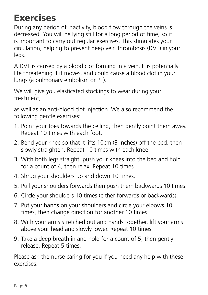# Exercises

During any period of inactivity, blood flow through the veins is decreased. You will be lying still for a long period of time, so it is important to carry out regular exercises. This stimulates your circulation, helping to prevent deep vein thrombosis (DVT) in your legs.

A DVT is caused by a blood clot forming in a vein. It is potentially life threatening if it moves, and could cause a blood clot in your lungs (a pulmonary embolism or PE).

We will give you elasticated stockings to wear during your treatment,

as well as an anti-blood clot injection. We also recommend the following gentle exercises:

- 1. Point your toes towards the ceiling, then gently point them away. Repeat 10 times with each foot.
- 2. Bend your knee so that it lifts 10cm (3 inches) off the bed, then slowly straighten. Repeat 10 times with each knee.
- 3. With both legs straight, push your knees into the bed and hold for a count of 4, then relax. Repeat 10 times.
- 4. Shrug your shoulders up and down 10 times.
- 5. Pull your shoulders forwards then push them backwards 10 times.
- 6. Circle your shoulders 10 times (either forwards or backwards).
- 7. Put your hands on your shoulders and circle your elbows 10 times, then change direction for another 10 times.
- 8. With your arms stretched out and hands together, lift your arms above your head and slowly lower. Repeat 10 times.
- 9. Take a deep breath in and hold for a count of 5, then gently release. Repeat 5 times.

Please ask the nurse caring for you if you need any help with these exercises.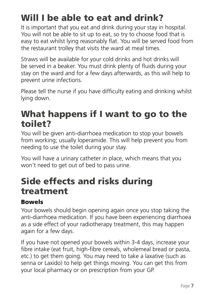# Will I be able to eat and drink?

It is important that you eat and drink during your stay in hospital. You will not be able to sit up to eat, so try to choose food that is easy to eat whilst lying reasonably flat. You will be served food from the restaurant trolley that visits the ward at meal times.

Straws will be available for your cold drinks and hot drinks will be served in a beaker. You must drink plenty of fluids during your stay on the ward and for a few days afterwards, as this will help to prevent urine infections.

Please tell the nurse if you have difficulty eating and drinking whilst lying down.

### What happens if I want to go to the toilet?

You will be given anti-diarrhoea medication to stop your bowels from working; usually loperamide. This will help prevent you from needing to use the toilet during your stay.

You will have a urinary catheter in place, which means that you won't need to get out of bed to pass urine.

### Side effects and risks during treatment

#### Bowels

Your bowels should begin opening again once you stop taking the anti-diarrhoea medication. If you have been experiencing diarrhoea as a side effect of your radiotherapy treatment, this may happen again for a few days.

If you have not opened your bowels within 3-4 days, increase your fibre intake (eat fruit, high-fibre cereals, wholemeal bread or pasta, etc.) to get them going. You may need to take a laxative (such as senna or Laxido) to help get things moving. You can get this from your local pharmacy or on prescription from your GP.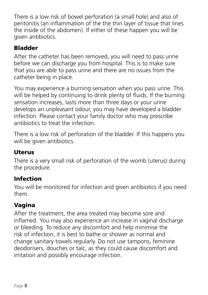There is a low risk of bowel perforation (a small hole) and also of peritonitis (an inflammation of the the thin layer of tissue that lines the inside of the abdomen). If either of these happen you will be given antibiotics.

#### Bladder

After the catheter has been removed, you will need to pass urine before we can discharge you from hospital. This is to make sure that you are able to pass urine and there are no issues from the catheter being in place.

You may experience a burning sensation when you pass urine. This will be helped by continuing to drink plenty of fluids. If the burning sensation increases, lasts more than three days or your urine develops an unpleasant odour, you may have developed a bladder infection. Please contact your family doctor who may prescribe antibiotics to treat the infection.

There is a low risk of perforation of the bladder. If this happens you will be given antibiotics.

#### Uterus

There is a very small risk of perforation of the womb (uterus) during the procedure.

#### Infection

You will be monitored for infection and given antibiotics if you need them.

#### Vagina

After the treatment, the area treated may become sore and inflamed. You may also experience an increase in vaginal discharge or bleeding. To reduce any discomfort and help minimise the risk of infection, it is best to bathe or shower as normal and change sanitary towels regularly. Do not use tampons, feminine deodorisers, douches or talc, as they could cause discomfort and irritation and possibly encourage infection.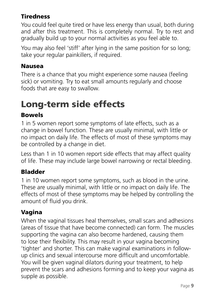#### **Tiredness**

You could feel quite tired or have less energy than usual, both during and after this treatment. This is completely normal. Try to rest and gradually build up to your normal activities as you feel able to.

You may also feel 'stiff' after lying in the same position for so long; take your regular painkillers, if required.

#### Nausea

There is a chance that you might experience some nausea (feeling sick) or vomiting. Try to eat small amounts regularly and choose foods that are easy to swallow.

# Long-term side effects

#### Bowels

1 in 5 women report some symptoms of late effects, such as a change in bowel function. These are usually minimal, with little or no impact on daily life. The effects of most of these symptoms may be controlled by a change in diet.

Less than 1 in 10 women report side effects that may affect quality of life. These may include large bowel narrowing or rectal bleeding.

#### Bladder

1 in 10 women report some symptoms, such as blood in the urine. These are usually minimal, with little or no impact on daily life. The effects of most of these symptoms may be helped by controlling the amount of fluid you drink.

#### Vagina

When the vaginal tissues heal themselves, small scars and adhesions (areas of tissue that have become connected) can form. The muscles supporting the vagina can also become hardened, causing them to lose their flexibility. This may result in your vagina becoming 'tighter' and shorter. This can make vaginal examinations in followup clinics and sexual intercourse more difficult and uncomfortable. You will be given vaginal dilators during your treatment, to help prevent the scars and adhesions forming and to keep your vagina as supple as possible.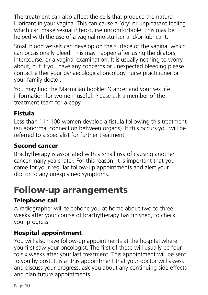The treatment can also affect the cells that produce the natural lubricant in your vagina. This can cause a 'dry' or unpleasant feeling which can make sexual intercourse uncomfortable. This may be helped with the use of a vaginal moisturiser and/or lubricant.

Small blood vessels can develop on the surface of the vagina, which can occasionally bleed. This may happen after using the dilators, intercourse, or a vaginal examination. It is usually nothing to worry about, but if you have any concerns or unexpected bleeding please contact either your gynaecological oncology nurse practitioner or your family doctor.

You may find the Macmillan booklet 'Cancer and your sex life: information for women' useful. Please ask a member of the treatment team for a copy.

#### Fistula

Less than 1 in 100 women develop a fistula following this treatment (an abnormal connection between organs). If this occurs you will be referred to a specialist for further treatment.

#### Second cancer

Brachytherapy is associated with a small risk of causing another cancer many years later. For this reason, it is important that you come for your regular follow-up appointments and alert your doctor to any unexplained symptoms.

### Follow-up arrangements

#### Telephone call

A radiographer will telephone you at home about two to three weeks after your course of brachytherapy has finished, to check your progress.

#### Hospital appointment

You will also have follow-up appointments at the hospital where you first saw your oncologist. The first of these will usually be four to six weeks after your last treatment. This appointment will be sent to you by post. It is at this appointment that your doctor will assess and discuss your progress, ask you about any continuing side effects and plan future appointments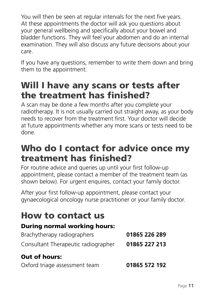You will then be seen at regular intervals for the next five years. At these appointments the doctor will ask you questions about your general wellbeing and specifically about your bowel and bladder functions. They will feel your abdomen and do an internal examination. They will also discuss any future decisions about your care.

If you have any questions, remember to write them down and bring them to the appointment.

### Will I have any scans or tests after the treatment has finished?

A scan may be done a few months after you complete your radiotherapy. It is not usually carried out straight away, as your body needs to recover from the treatment first. Your doctor will decide at future appointments whether any more scans or tests need to be done.

### Who do I contact for advice once my treatment has finished?

For routine advice and queries up until your first follow-up appointment, please contact a member of the treatment team (as shown below). For urgent enquires, contact your family doctor.

After your first follow-up appointment, please contact your gynaecological oncology nurse practitioner or your family doctor.

### How to contact us

#### During normal working hours:

| Brachytherapy radiographers         | 01865 226 289 |
|-------------------------------------|---------------|
| Consultant Therapeutic radiographer | 01865 227 213 |
| <b>Out of hours:</b>                |               |
| Oxford triage assessment team       | 01865 572 192 |